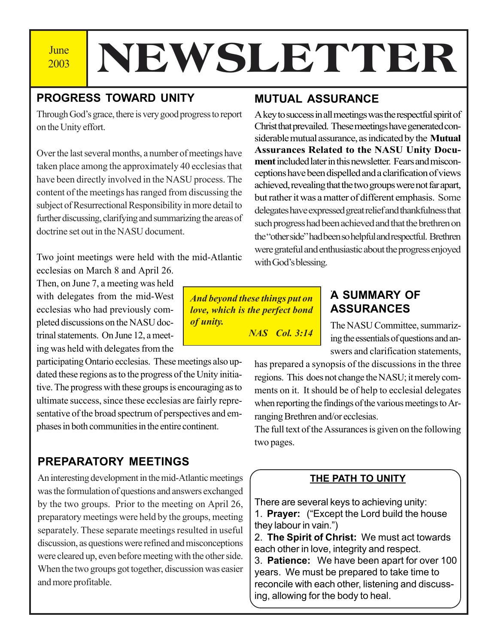2003

# **June | NEWSLETTER**

## **PROGRESS TOWARD UNITY**

Through God's grace, there is very good progress to report on the Unity effort.

Over the last several months, a number of meetings have taken place among the approximately 40 ecclesias that have been directly involved in the NASU process. The content of the meetings has ranged from discussing the subject of Resurrectional Responsibility in more detail to further discussing, clarifying and summarizing the areas of doctrine set out in the NASU document.

Two joint meetings were held with the mid-Atlantic

ecclesias on March 8 and April 26. Then, on June 7, a meeting was held with delegates from the mid-West ecclesias who had previously completed discussions on the NASU doctrinal statements. On June 12, a meeting was held with delegates from the

participating Ontario ecclesias. These meetings also updated these regions as to the progress of the Unity initiative. The progress with these groups is encouraging as to ultimate success, since these ecclesias are fairly representative of the broad spectrum of perspectives and emphases in both communities in the entire continent.

## **PREPARATORY MEETINGS**

An interesting development in the mid-Atlantic meetings was the formulation of questions and answers exchanged by the two groups. Prior to the meeting on April 26, preparatory meetings were held by the groups, meeting separately. These separate meetings resulted in useful discussion, as questions were refined and misconceptions were cleared up, even before meeting with the other side. When the two groups got together, discussion was easier and more profitable.

## **MUTUAL ASSURANCE**

A key to success in all meetings was the respectful spirit of Christ that prevailed. These meetings have generated considerable mutual assurance, as indicated by the **Mutual Assurances Related to the NASU Unity Document** included later in this newsletter. Fears and misconceptions have been dispelled and a clarification of views achieved, revealing that the two groups were not far apart, but rather it was a matter of different emphasis. Some delegates have expressed great relief and thankfulness that such progress had been achieved and that the brethren on the "other side" had been so helpful and respectful. Brethren were grateful and enthusiastic about the progress enjoyed with God's blessing.

*And beyond these things put on love, which is the perfect bond of unity.*

*NAS Col. 3:14*

## . **A SUMMARY OF ASSURANCES**

The NASU Committee, summarizing the essentials of questions and answers and clarification statements,

has prepared a synopsis of the discussions in the three regions. This does not change the NASU; it merely comments on it. It should be of help to ecclesial delegates when reporting the findings of the various meetings to Arranging Brethren and/or ecclesias.

The full text of the Assurances is given on the following two pages.

### **THE PATH TO UNITY**

There are several keys to achieving unity: 1. **Prayer:** ("Except the Lord build the house they labour in vain.")

2. **The Spirit of Christ:** We must act towards each other in love, integrity and respect.

3. **Patience:** We have been apart for over 100 years. We must be prepared to take time to reconcile with each other, listening and discussing, allowing for the body to heal.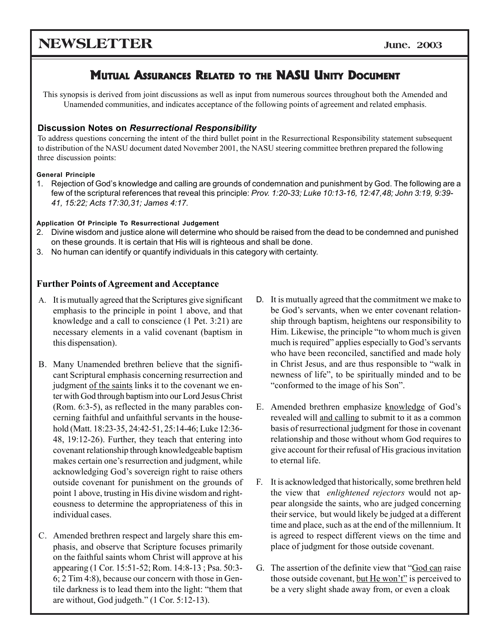## **NEWSLETTER** June. 2003

## **MUTUAL ASSURANCES RELATED TO THE NASU UNITY DOCUMENT**

This synopsis is derived from joint discussions as well as input from numerous sources throughout both the Amended and Unamended communities, and indicates acceptance of the following points of agreement and related emphasis.

#### **Discussion Notes on** *Resurrectional Responsibility*

To address questions concerning the intent of the third bullet point in the Resurrectional Responsibility statement subsequent to distribution of the NASU document dated November 2001, the NASU steering committee brethren prepared the following three discussion points:

#### **General Principle**

1. Rejection of Godís knowledge and calling are grounds of condemnation and punishment by God. The following are a few of the scriptural references that reveal this principle: *Prov. 1:20-33; Luke 10:13-16, 12:47,48; John 3:19, 9:39- 41, 15:22; Acts 17:30,31; James 4:17.*

#### **Application Of Principle To Resurrectional Judgement**

- 2. Divine wisdom and justice alone will determine who should be raised from the dead to be condemned and punished on these grounds. It is certain that His will is righteous and shall be done.
- 3. No human can identify or quantify individuals in this category with certainty.

#### **Further Points of Agreement and Acceptance**

- A. It is mutually agreed that the Scriptures give significant emphasis to the principle in point 1 above, and that knowledge and a call to conscience (1 Pet. 3:21) are necessary elements in a valid covenant (baptism in this dispensation).
- B. Many Unamended brethren believe that the significant Scriptural emphasis concerning resurrection and judgment of the saints links it to the covenant we enter with God through baptism into our Lord Jesus Christ (Rom. 6:3-5), as reflected in the many parables concerning faithful and unfaithful servants in the household (Matt. 18:23-35, 24:42-51, 25:14-46; Luke 12:36- 48, 19:12-26). Further, they teach that entering into covenant relationship through knowledgeable baptism makes certain one's resurrection and judgment, while acknowledging God's sovereign right to raise others outside covenant for punishment on the grounds of point 1 above, trusting in His divine wisdom and righteousness to determine the appropriateness of this in individual cases.
- C. Amended brethren respect and largely share this emphasis, and observe that Scripture focuses primarily on the faithful saints whom Christ will approve at his appearing (1 Cor. 15:51-52; Rom. 14:8-13 ; Psa. 50:3- 6; 2 Tim 4:8), because our concern with those in Gentile darkness is to lead them into the light: "them that are without, God judgeth."  $(1$  Cor. 5:12-13).
- D. It is mutually agreed that the commitment we make to be God's servants, when we enter covenant relationship through baptism, heightens our responsibility to Him. Likewise, the principle "to whom much is given much is required" applies especially to God's servants who have been reconciled, sanctified and made holy in Christ Jesus, and are thus responsible to "walk in newness of life", to be spiritually minded and to be "conformed to the image of his Son".
- E. Amended brethren emphasize knowledge of God's revealed will and calling to submit to it as a common basis of resurrectional judgment for those in covenant relationship and those without whom God requires to give account for their refusal of His gracious invitation to eternal life.
- F. It is acknowledged that historically, some brethren held the view that *enlightened rejectors* would not appear alongside the saints, who are judged concerning their service, but would likely be judged at a different time and place, such as at the end of the millennium. It is agreed to respect different views on the time and place of judgment for those outside covenant.
- G. The assertion of the definite view that "God can raise" those outside covenant, but He won't" is perceived to be a very slight shade away from, or even a cloak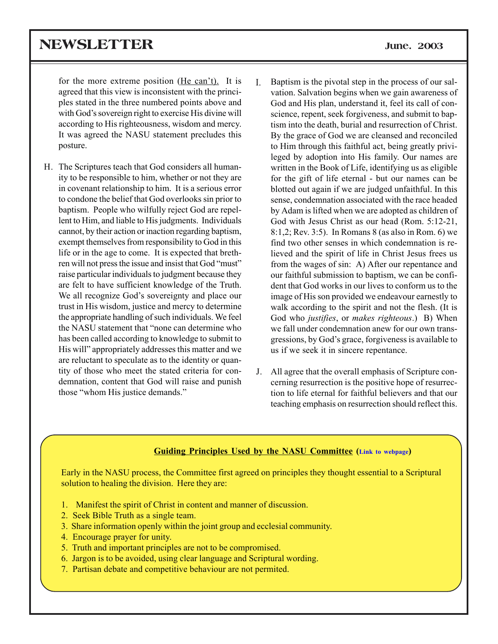## **NEWSLETTER June. 2003**

for the more extreme position (He can't). It is agreed that this view is inconsistent with the principles stated in the three numbered points above and with God's sovereign right to exercise His divine will according to His righteousness, wisdom and mercy. It was agreed the NASU statement precludes this posture.

- H. The Scriptures teach that God considers all humanity to be responsible to him, whether or not they are in covenant relationship to him. It is a serious error to condone the belief that God overlooks sin prior to baptism. People who wilfully reject God are repellent to Him, and liable to His judgments. Individuals cannot, by their action or inaction regarding baptism, exempt themselves from responsibility to God in this life or in the age to come. It is expected that brethren will not press the issue and insist that God "must" raise particular individuals to judgment because they are felt to have sufficient knowledge of the Truth. We all recognize God's sovereignty and place our trust in His wisdom, justice and mercy to determine the appropriate handling of such individuals. We feel the NASU statement that "none can determine who has been called according to knowledge to submit to His will<sup>"</sup> appropriately addresses this matter and we are reluctant to speculate as to the identity or quantity of those who meet the stated criteria for condemnation, content that God will raise and punish those "whom His justice demands."
- Baptism is the pivotal step in the process of our salvation. Salvation begins when we gain awareness of God and His plan, understand it, feel its call of conscience, repent, seek forgiveness, and submit to baptism into the death, burial and resurrection of Christ. By the grace of God we are cleansed and reconciled to Him through this faithful act, being greatly privileged by adoption into His family. Our names are written in the Book of Life, identifying us as eligible for the gift of life eternal - but our names can be blotted out again if we are judged unfaithful. In this sense, condemnation associated with the race headed by Adam is lifted when we are adopted as children of God with Jesus Christ as our head (Rom. 5:12-21, 8:1,2; Rev. 3:5). In Romans 8 (as also in Rom. 6) we find two other senses in which condemnation is relieved and the spirit of life in Christ Jesus frees us from the wages of sin: A) After our repentance and our faithful submission to baptism, we can be confident that God works in our lives to conform us to the image of His son provided we endeavour earnestly to walk according to the spirit and not the flesh. (It is God who *justifies*, or *makes righteous*.) B) When we fall under condemnation anew for our own transgressions, by God's grace, forgiveness is available to us if we seek it in sincere repentance. I.
- J. All agree that the overall emphasis of Scripture concerning resurrection is the positive hope of resurrection to life eternal for faithful believers and that our teaching emphasis on resurrection should reflect this.

#### **Guiding Principles Used by the NASU Committee (Link to webpage)**

Early in the NASU process, the Committee first agreed on principles they thought essential to a Scriptural solution to healing the division. Here they are:

- 1. Manifest the spirit of Christ in content and manner of discussion.
- 2. Seek Bible Truth as a single team.
- 3. Share information openly within the joint group and ecclesial community.
- 4. Encourage prayer for unity.
- 5. Truth and important principles are not to be compromised.
- 6. Jargon is to be avoided, using clear language and Scriptural wording.
- 7. Partisan debate and competitive behaviour are not permited.